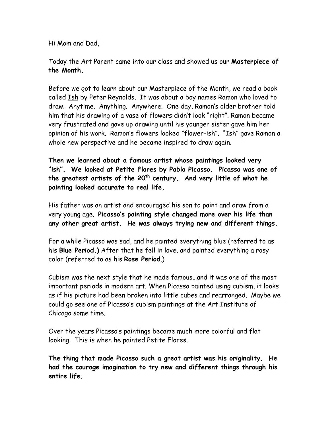Hi Mom and Dad,

Today the Art Parent came into our class and showed us our **Masterpiece of the Month.**

Before we got to learn about our Masterpiece of the Month, we read a book called Ish by Peter Reynolds. It was about a boy names Ramon who loved to draw. Anytime. Anything. Anywhere. One day, Ramon's older brother told him that his drawing of a vase of flowers didn't look "right". Ramon became very frustrated and gave up drawing until his younger sister gave him her opinion of his work. Ramon's flowers looked "flower-ish". "Ish" gave Ramon a whole new perspective and he became inspired to draw again.

**Then we learned about a famous artist whose paintings looked very "ish". We looked at Petite Flores by Pablo Picasso. Picasso was one of** the greatest artists of the 20<sup>th</sup> century. And very little of what he **painting looked accurate to real life.**

His father was an artist and encouraged his son to paint and draw from a very young age. **Picasso's painting style changed more over his life than any other great artist. He was always trying new and different things.**

For a while Picasso was sad, and he painted everything blue (referred to as his **Blue Period.)** After that he fell in love, and painted everything a rosy color (referred to as his **Rose Period**.)

Cubism was the next style that he made famous…and it was one of the most important periods in modern art. When Picasso painted using cubism, it looks as if his picture had been broken into little cubes and rearranged. Maybe we could go see one of Picasso's cubism paintings at the Art Institute of Chicago some time.

Over the years Picasso's paintings became much more colorful and flat looking. This is when he painted Petite Flores.

**The thing that made Picasso such a great artist was his originality. He had the courage imagination to try new and different things through his entire life.**